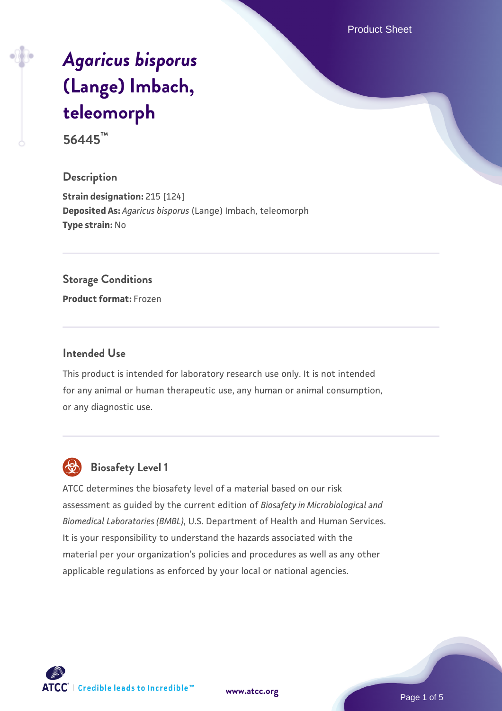Product Sheet

# *[Agaricus bisporus](https://www.atcc.org/products/56445)* **[\(Lange\) Imbach,](https://www.atcc.org/products/56445) [teleomorph](https://www.atcc.org/products/56445)**

**56445™**

## **Description**

**Strain designation:** 215 [124] **Deposited As:** *Agaricus bisporus* (Lange) Imbach, teleomorph **Type strain:** No

### **Storage Conditions**

**Product format:** Frozen

### **Intended Use**

This product is intended for laboratory research use only. It is not intended for any animal or human therapeutic use, any human or animal consumption, or any diagnostic use.



# **Biosafety Level 1**

ATCC determines the biosafety level of a material based on our risk assessment as guided by the current edition of *Biosafety in Microbiological and Biomedical Laboratories (BMBL)*, U.S. Department of Health and Human Services. It is your responsibility to understand the hazards associated with the material per your organization's policies and procedures as well as any other applicable regulations as enforced by your local or national agencies.

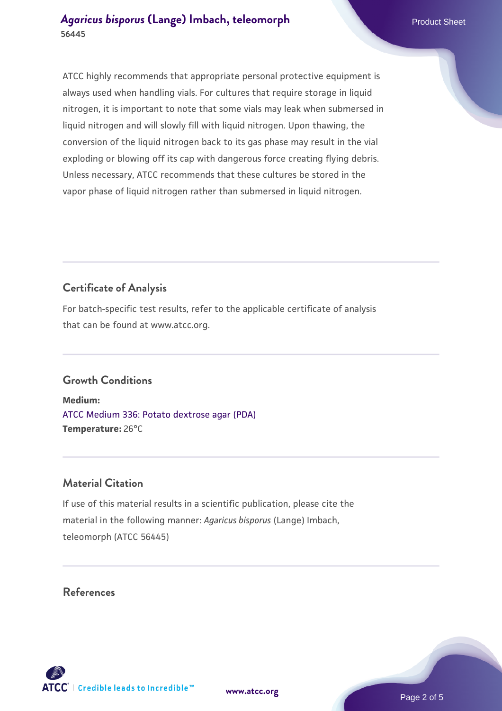ATCC highly recommends that appropriate personal protective equipment is always used when handling vials. For cultures that require storage in liquid nitrogen, it is important to note that some vials may leak when submersed in liquid nitrogen and will slowly fill with liquid nitrogen. Upon thawing, the conversion of the liquid nitrogen back to its gas phase may result in the vial exploding or blowing off its cap with dangerous force creating flying debris. Unless necessary, ATCC recommends that these cultures be stored in the vapor phase of liquid nitrogen rather than submersed in liquid nitrogen.

# **Certificate of Analysis**

For batch-specific test results, refer to the applicable certificate of analysis that can be found at www.atcc.org.

## **Growth Conditions**

**Medium:**  [ATCC Medium 336: Potato dextrose agar \(PDA\)](https://www.atcc.org/-/media/product-assets/documents/microbial-media-formulations/3/3/6/atcc-medium-336.pdf?rev=d9160ad44d934cd8b65175461abbf3b9) **Temperature:** 26°C

## **Material Citation**

If use of this material results in a scientific publication, please cite the material in the following manner: *Agaricus bisporus* (Lange) Imbach, teleomorph (ATCC 56445)

## **References**



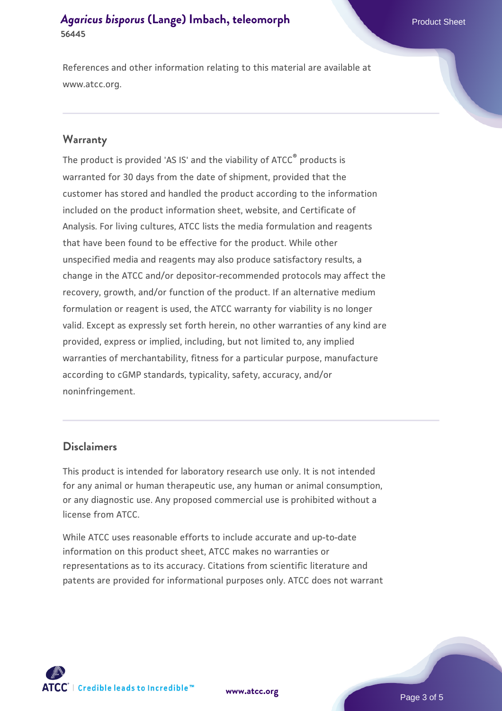References and other information relating to this material are available at www.atcc.org.

#### **Warranty**

The product is provided 'AS IS' and the viability of ATCC® products is warranted for 30 days from the date of shipment, provided that the customer has stored and handled the product according to the information included on the product information sheet, website, and Certificate of Analysis. For living cultures, ATCC lists the media formulation and reagents that have been found to be effective for the product. While other unspecified media and reagents may also produce satisfactory results, a change in the ATCC and/or depositor-recommended protocols may affect the recovery, growth, and/or function of the product. If an alternative medium formulation or reagent is used, the ATCC warranty for viability is no longer valid. Except as expressly set forth herein, no other warranties of any kind are provided, express or implied, including, but not limited to, any implied warranties of merchantability, fitness for a particular purpose, manufacture according to cGMP standards, typicality, safety, accuracy, and/or noninfringement.

#### **Disclaimers**

This product is intended for laboratory research use only. It is not intended for any animal or human therapeutic use, any human or animal consumption, or any diagnostic use. Any proposed commercial use is prohibited without a license from ATCC.

While ATCC uses reasonable efforts to include accurate and up-to-date information on this product sheet, ATCC makes no warranties or representations as to its accuracy. Citations from scientific literature and patents are provided for informational purposes only. ATCC does not warrant



**[www.atcc.org](http://www.atcc.org)**

Page 3 of 5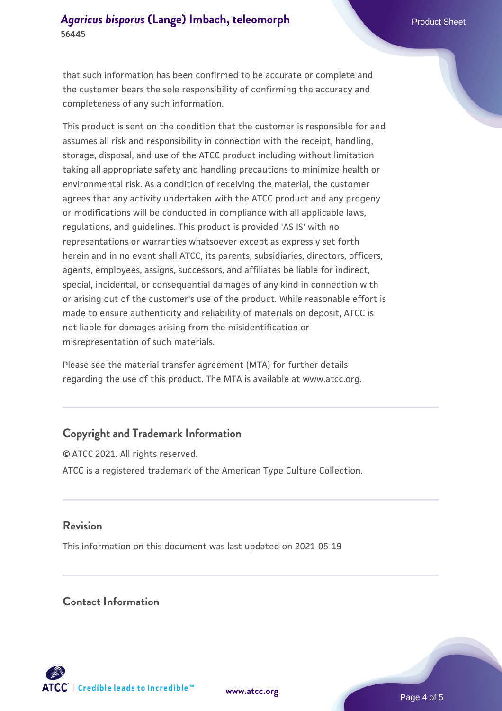that such information has been confirmed to be accurate or complete and the customer bears the sole responsibility of confirming the accuracy and completeness of any such information.

This product is sent on the condition that the customer is responsible for and assumes all risk and responsibility in connection with the receipt, handling, storage, disposal, and use of the ATCC product including without limitation taking all appropriate safety and handling precautions to minimize health or environmental risk. As a condition of receiving the material, the customer agrees that any activity undertaken with the ATCC product and any progeny or modifications will be conducted in compliance with all applicable laws, regulations, and guidelines. This product is provided 'AS IS' with no representations or warranties whatsoever except as expressly set forth herein and in no event shall ATCC, its parents, subsidiaries, directors, officers, agents, employees, assigns, successors, and affiliates be liable for indirect, special, incidental, or consequential damages of any kind in connection with or arising out of the customer's use of the product. While reasonable effort is made to ensure authenticity and reliability of materials on deposit, ATCC is not liable for damages arising from the misidentification or misrepresentation of such materials.

Please see the material transfer agreement (MTA) for further details regarding the use of this product. The MTA is available at www.atcc.org.

## **Copyright and Trademark Information**

© ATCC 2021. All rights reserved. ATCC is a registered trademark of the American Type Culture Collection.

## **Revision**

This information on this document was last updated on 2021-05-19

## **Contact Information**



**[www.atcc.org](http://www.atcc.org)**

Page 4 of 5